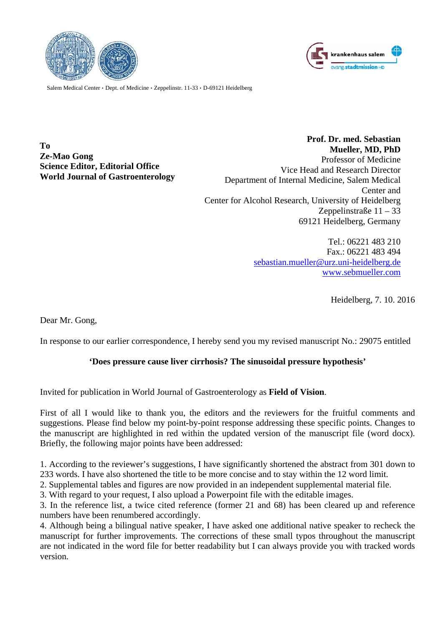



Salem Medical Center  $\cdot$  Dept. of Medicine  $\cdot$  Zeppelinstr. 11-33  $\cdot$  D-69121 Heidelberg

**To Ze-Mao Gong Science Editor, Editorial Office World Journal of Gastroenterology** 

 **Prof. Dr. med. Sebastian Mueller, MD, PhD**  Professor of Medicine Vice Head and Research Director Department of Internal Medicine, Salem Medical Center and Center for Alcohol Research, University of Heidelberg Zeppelinstraße 11 – 33 69121 Heidelberg, Germany

> Tel.: 06221 483 210 Fax.: 06221 483 494 sebastian.mueller@urz.uni-heidelberg.de www.sebmueller.com

> > Heidelberg, 7. 10. 2016

Dear Mr. Gong,

In response to our earlier correspondence, I hereby send you my revised manuscript No.: 29075 entitled

# **'Does pressure cause liver cirrhosis? The sinusoidal pressure hypothesis'**

Invited for publication in World Journal of Gastroenterology as **Field of Vision**.

First of all I would like to thank you, the editors and the reviewers for the fruitful comments and suggestions. Please find below my point-by-point response addressing these specific points. Changes to the manuscript are highlighted in red within the updated version of the manuscript file (word docx). Briefly, the following major points have been addressed:

1. According to the reviewer's suggestions, I have significantly shortened the abstract from 301 down to 233 words. I have also shortened the title to be more concise and to stay within the 12 word limit.

2. Supplemental tables and figures are now provided in an independent supplemental material file.

3. With regard to your request, I also upload a Powerpoint file with the editable images.

3. In the reference list, a twice cited reference (former 21 and 68) has been cleared up and reference numbers have been renumbered accordingly.

4. Although being a bilingual native speaker, I have asked one additional native speaker to recheck the manuscript for further improvements. The corrections of these small typos throughout the manuscript are not indicated in the word file for better readability but I can always provide you with tracked words version.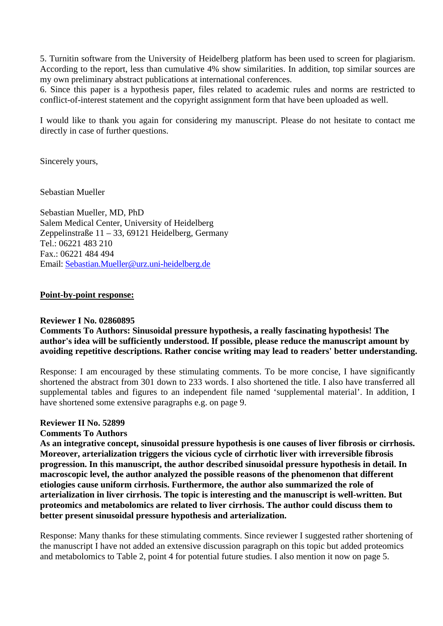5. Turnitin software from the University of Heidelberg platform has been used to screen for plagiarism. According to the report, less than cumulative 4% show similarities. In addition, top similar sources are my own preliminary abstract publications at international conferences.

6. Since this paper is a hypothesis paper, files related to academic rules and norms are restricted to conflict-of-interest statement and the copyright assignment form that have been uploaded as well.

I would like to thank you again for considering my manuscript. Please do not hesitate to contact me directly in case of further questions.

Sincerely yours,

Sebastian Mueller

Sebastian Mueller, MD, PhD Salem Medical Center, University of Heidelberg Zeppelinstraße 11 – 33, 69121 Heidelberg, Germany Tel.: 06221 483 210 Fax.: 06221 484 494 Email: Sebastian.Mueller@urz.uni-heidelberg.de

### **Point-by-point response:**

#### **Reviewer I No. 02860895**

# **Comments To Authors: Sinusoidal pressure hypothesis, a really fascinating hypothesis! The author's idea will be sufficiently understood. If possible, please reduce the manuscript amount by avoiding repetitive descriptions. Rather concise writing may lead to readers' better understanding.**

Response: I am encouraged by these stimulating comments. To be more concise, I have significantly shortened the abstract from 301 down to 233 words. I also shortened the title. I also have transferred all supplemental tables and figures to an independent file named 'supplemental material'. In addition, I have shortened some extensive paragraphs e.g. on page 9.

#### **Reviewer II No. 52899**

#### **Comments To Authors**

**As an integrative concept, sinusoidal pressure hypothesis is one causes of liver fibrosis or cirrhosis. Moreover, arterialization triggers the vicious cycle of cirrhotic liver with irreversible fibrosis progression. In this manuscript, the author described sinusoidal pressure hypothesis in detail. In macroscopic level, the author analyzed the possible reasons of the phenomenon that different etiologies cause uniform cirrhosis. Furthermore, the author also summarized the role of arterialization in liver cirrhosis. The topic is interesting and the manuscript is well-written. But proteomics and metabolomics are related to liver cirrhosis. The author could discuss them to better present sinusoidal pressure hypothesis and arterialization.** 

Response: Many thanks for these stimulating comments. Since reviewer I suggested rather shortening of the manuscript I have not added an extensive discussion paragraph on this topic but added proteomics and metabolomics to Table 2, point 4 for potential future studies. I also mention it now on page 5.